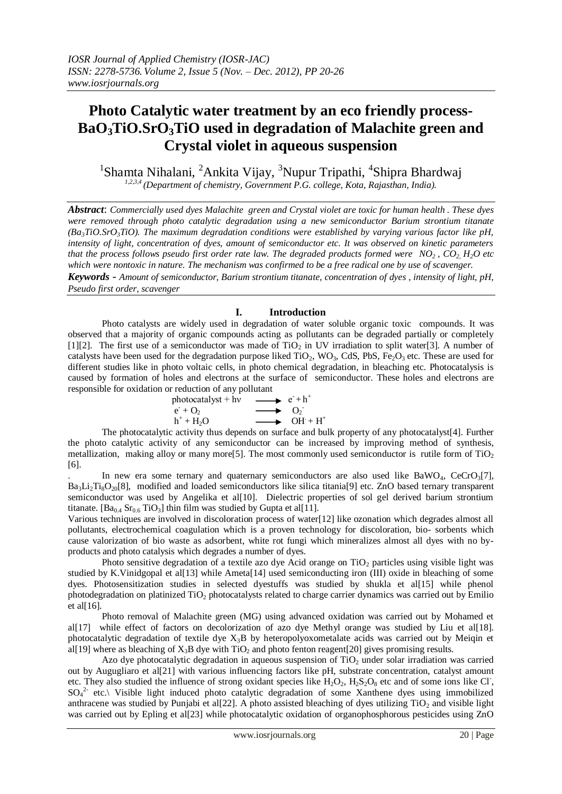# **Photo Catalytic water treatment by an eco friendly process-BaO3TiO.SrO3TiO used in degradation of Malachite green and Crystal violet in aqueous suspension**

<sup>1</sup>Shamta Nihalani, <sup>2</sup>Ankita Vijay, <sup>3</sup>Nupur Tripathi, <sup>4</sup>Shipra Bhardwaj *1,2,3,4 (Department of chemistry, Government P.G. college, Kota, Rajasthan, India).*

*Abstract*: *Commercially used dyes Malachite green and Crystal violet are toxic for human health . These dyes were removed through photo catalytic degradation using a new semiconductor Barium strontium titanate (Ba3TiO.SrO3TiO). The maximum degradation conditions were established by varying various factor like pH, intensity of light, concentration of dyes, amount of semiconductor etc. It was observed on kinetic parameters that the process follows pseudo first order rate law. The degraded products formed were NO2 , CO2, H2O etc which were nontoxic in nature. The mechanism was confirmed to be a free radical one by use of scavenger. Keywords* - *Amount of semiconductor, Barium strontium titanate, concentration of dyes , intensity of light, pH,* 

*Pseudo first order, scavenger*

 $\overline{\phantom{a}}$ 

## **I. Introduction**

Photo catalysts are widely used in degradation of water soluble organic toxic compounds. It was observed that a majority of organic compounds acting as pollutants can be degraded partially or completely [1][2]. The first use of a semiconductor was made of  $TiO<sub>2</sub>$  in UV irradiation to split water[3]. A number of catalysts have been used for the degradation purpose liked  $TiO<sub>2</sub>$ , WO<sub>3</sub>, CdS, PbS, Fe<sub>2</sub>O<sub>3</sub> etc. These are used for different studies like in photo voltaic cells, in photo chemical degradation, in bleaching etc. Photocatalysis is caused by formation of holes and electrons at the surface of semiconductor. These holes and electrons are responsible for oxidation or reduction of any pollutant

$$
\begin{array}{ccc}\n\text{photocatalyst} + \text{hv} & \longrightarrow & e^+ + \text{h}^+ \\
\text{e}^+ + \text{O}_2 & \longrightarrow & \text{O}_2 \\
\text{h}^+ + \text{H}_2\text{O} & \longrightarrow & \text{OH}^+ + \text{H}^+\n\end{array}
$$

The photocatalytic activity thus depends on surface and bulk property of any photocatalyst[4]. Further the photo catalytic activity of any semiconductor can be increased by improving method of synthesis, metallization, making alloy or many more<sup>[5]</sup>. The most commonly used semiconductor is rutile form of  $TiO<sub>2</sub>$ [6].

In new era some ternary and quaternary semiconductors are also used like  $BaWO<sub>4</sub>$ ,  $CeCrO<sub>3</sub>[7]$ ,  $Ba_3Li_2Ti_8O_{20}[8]$ , modified and loaded semiconductors like silica titania[9] etc. ZnO based ternary transparent semiconductor was used by Angelika et al[10]. Dielectric properties of sol gel derived barium strontium titanate. [Ba<sub>0.4</sub> Sr<sub>0.6</sub> TiO<sub>3</sub>] thin film was studied by Gupta et al[11].

Various techniques are involved in discoloration process of water[12] like ozonation which degrades almost all pollutants, electrochemical coagulation which is a proven technology for discoloration, bio- sorbents which cause valorization of bio waste as adsorbent, white rot fungi which mineralizes almost all dyes with no byproducts and photo catalysis which degrades a number of dyes.

Photo sensitive degradation of a textile azo dye Acid orange on TiO<sub>2</sub> particles using visible light was studied by K.Vinidgopal et al[13] while Ameta[14] used semiconducting iron (III) oxide in bleaching of some dyes. Photosensitization studies in selected dyestuffs was studied by shukla et al[15] while phenol photodegradation on platinized TiO<sup>2</sup> photocatalysts related to charge carrier dynamics was carried out by Emilio et al $[16]$ .

Photo removal of Malachite green (MG) using advanced oxidation was carried out by Mohamed et al[17] while effect of factors on decolorization of azo dye Methyl orange was studied by Liu et al[18]. photocatalytic degradation of textile dye  $X_3B$  by heteropolyoxometalate acids was carried out by Meigin et al[19] where as bleaching of  $X_3B$  dye with TiO<sub>2</sub> and photo fenton reagent[20] gives promising results.

Azo dye photocatalytic degradation in aqueous suspension of TiO<sub>2</sub> under solar irradiation was carried out by Augugliaro et al[21] with various influencing factors like pH, substrate concentration, catalyst amount etc. They also studied the influence of strong oxidant species like  $H_2O_2$ ,  $H_2S_2O_8$  etc and of some ions like Cl,  $SO_4^2$  etc.\ Visible light induced photo catalytic degradation of some Xanthene dyes using immobilized anthracene was studied by Punjabi et al[22]. A photo assisted bleaching of dyes utilizing  $TiO<sub>2</sub>$  and visible light was carried out by Epling et al[23] while photocatalytic oxidation of organophosphorous pesticides using ZnO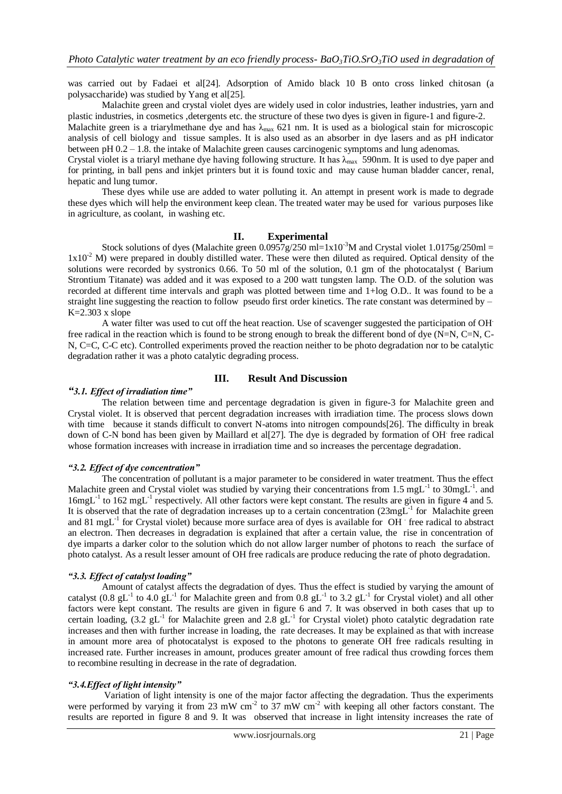was carried out by Fadaei et al[24]. Adsorption of Amido black 10 B onto cross linked chitosan (a polysaccharide) was studied by Yang et al[25].

Malachite green and crystal violet dyes are widely used in color industries, leather industries, yarn and plastic industries, in cosmetics ,detergents etc. the structure of these two dyes is given in figure-1 and figure-2.

Malachite green is a triarylmethane dye and has  $\lambda_{\text{max}}$  621 nm. It is used as a biological stain for microscopic analysis of cell biology and tissue samples. It is also used as an absorber in dye lasers and as pH indicator between pH 0.2 – 1.8. the intake of Malachite green causes carcinogenic symptoms and lung adenomas.

Crystal violet is a triaryl methane dye having following structure. It has  $\lambda_{\max}$  590nm. It is used to dye paper and for printing, in ball pens and inkjet printers but it is found toxic and may cause human bladder cancer, renal, hepatic and lung tumor.

These dyes while use are added to water polluting it. An attempt in present work is made to degrade these dyes which will help the environment keep clean. The treated water may be used for various purposes like in agriculture, as coolant, in washing etc.

#### **II. Experimental**

Stock solutions of dyes (Malachite green  $0.0957g/250$  ml=1x10<sup>-3</sup>M and Crystal violet 1.0175g/250ml =  $1x10<sup>-2</sup>$  M) were prepared in doubly distilled water. These were then diluted as required. Optical density of the solutions were recorded by systronics 0.66. To 50 ml of the solution, 0.1 gm of the photocatalyst ( Barium Strontium Titanate) was added and it was exposed to a 200 watt tungsten lamp. The O.D. of the solution was recorded at different time intervals and graph was plotted between time and 1+log O.D.. It was found to be a straight line suggesting the reaction to follow pseudo first order kinetics. The rate constant was determined by  $K=2.303$  x slope

A water filter was used to cut off the heat reaction. Use of scavenger suggested the participation of OH. free radical in the reaction which is found to be strong enough to break the different bond of dye (N=N, C=N, C-N, C=C, C-C etc). Controlled experiments proved the reaction neither to be photo degradation nor to be catalytic degradation rather it was a photo catalytic degrading process.

#### **III. Result And Discussion**

#### *"3.1. Effect of irradiation time"*

The relation between time and percentage degradation is given in figure-3 for Malachite green and Crystal violet. It is observed that percent degradation increases with irradiation time. The process slows down with time because it stands difficult to convert N-atoms into nitrogen compounds[26]. The difficulty in break down of C-N bond has been given by Maillard et al[27]. The dye is degraded by formation of OH free radical whose formation increases with increase in irradiation time and so increases the percentage degradation.

#### *"3.2. Effect of dye concentration"*

The concentration of pollutant is a major parameter to be considered in water treatment. Thus the effect Malachite green and Crystal violet was studied by varying their concentrations from 1.5 mgL<sup>-1</sup> to 30mgL<sup>-1</sup>. and 16mgL<sup>-1</sup> to 162 mgL<sup>-1</sup> respectively. All other factors were kept constant. The results are given in figure 4 and 5. It is observed that the rate of degradation increases up to a certain concentration  $(23mg<sup>-1</sup>$  for Malachite green and 81 mgL<sup>-1</sup> for Crystal violet) because more surface area of dyes is available for OH free radical to abstract an electron. Then decreases in degradation is explained that after a certain value, the rise in concentration of dye imparts a darker color to the solution which do not allow larger number of photons to reach the surface of photo catalyst. As a result lesser amount of OH free radicals are produce reducing the rate of photo degradation.

#### *"3.3. Effect of catalyst loading"*

Amount of catalyst affects the degradation of dyes. Thus the effect is studied by varying the amount of catalyst (0.8 gL<sup>-1</sup> to 4.0 gL<sup>-1</sup> for Malachite green and from 0.8 gL<sup>-1</sup> to 3.2 gL<sup>-1</sup> for Crystal violet) and all other factors were kept constant. The results are given in figure 6 and 7. It was observed in both cases that up to certain loading,  $(3.2 \text{ gL}^{-1}$  for Malachite green and  $2.8 \text{ gL}^{-1}$  for Crystal violet) photo catalytic degradation rate increases and then with further increase in loading, the rate decreases. It may be explained as that with increase in amount more area of photocatalyst is exposed to the photons to generate OH free radicals resulting in increased rate. Further increases in amount, produces greater amount of free radical thus crowding forces them to recombine resulting in decrease in the rate of degradation.

#### *"3.4.Effect of light intensity"*

Variation of light intensity is one of the major factor affecting the degradation. Thus the experiments were performed by varying it from 23 mW  $cm<sup>2</sup>$  to 37 mW  $cm<sup>2</sup>$  with keeping all other factors constant. The results are reported in figure 8 and 9. It was observed that increase in light intensity increases the rate of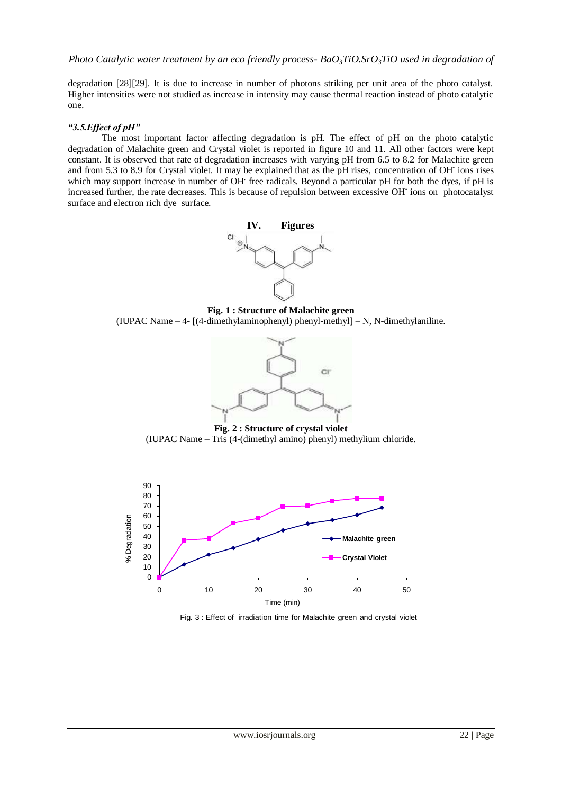degradation [28][29]. It is due to increase in number of photons striking per unit area of the photo catalyst. Higher intensities were not studied as increase in intensity may cause thermal reaction instead of photo catalytic one.

# *"3.5.Effect of pH"*

The most important factor affecting degradation is pH. The effect of pH on the photo catalytic degradation of Malachite green and Crystal violet is reported in figure 10 and 11. All other factors were kept constant. It is observed that rate of degradation increases with varying pH from 6.5 to 8.2 for Malachite green and from 5.3 to 8.9 for Crystal violet. It may be explained that as the pH rises, concentration of OH-ions rises which may support increase in number of OH free radicals. Beyond a particular pH for both the dyes, if pH is increased further, the rate decreases. This is because of repulsion between excessive OH ions on photocatalyst surface and electron rich dye surface.



**Fig. 1 : Structure of Malachite green** (IUPAC Name – 4- [(4-dimethylaminophenyl) phenyl-methyl] – N, N-dimethylaniline.



**Fig. 2 : Structure of crystal violet** (IUPAC Name – Tris (4-(dimethyl amino) phenyl) methylium chloride.



Fig. 3 : Effect of irradiation time for Malachite green and crystal violet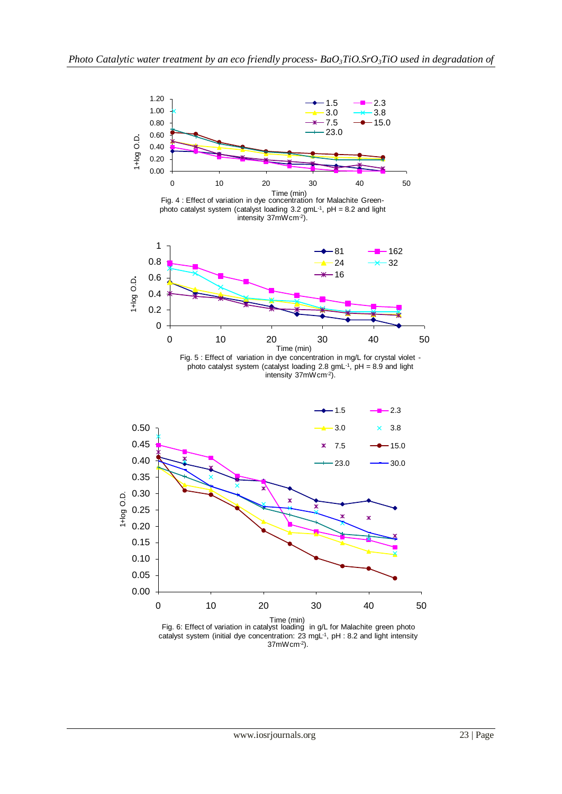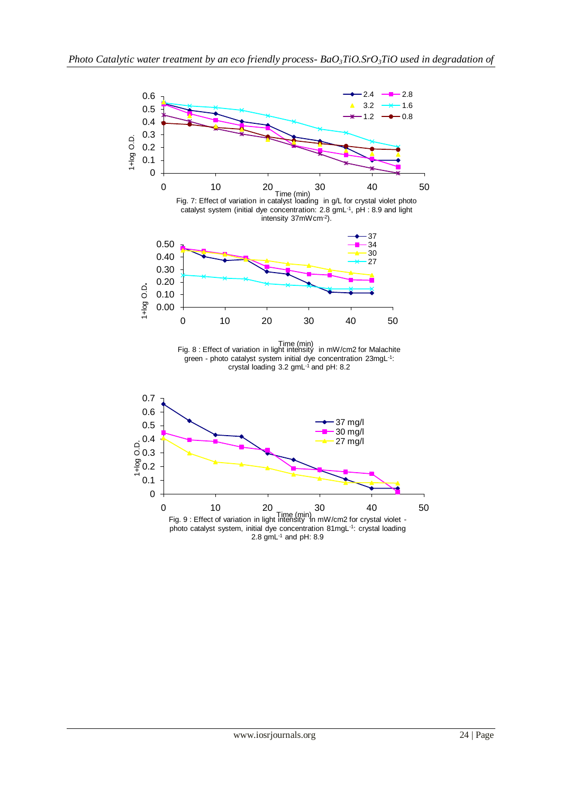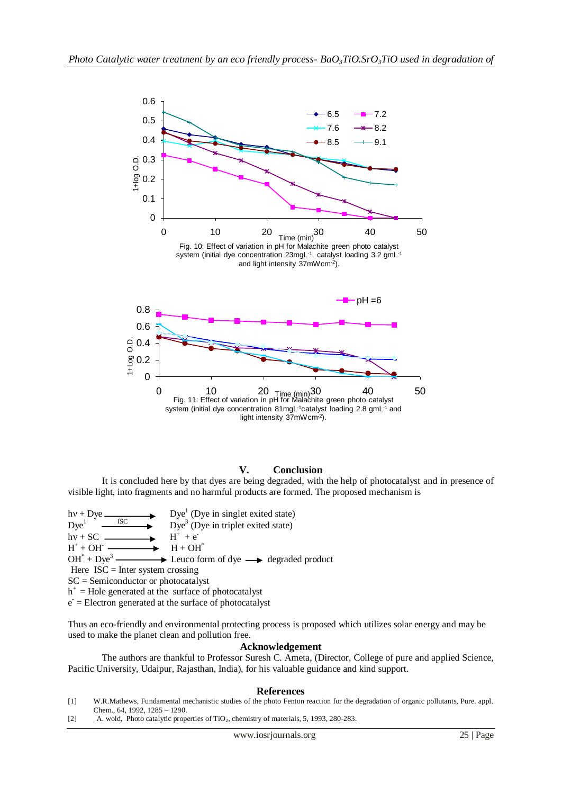

# **V. Conclusion**

It is concluded here by that dyes are being degraded, with the help of photocatalyst and in presence of visible light, into fragments and no harmful products are formed. The proposed mechanism is

 $hv + Dye.$  $Dye<sup>1</sup>$  (Dye in singlet exited state)  $Dye<sup>1</sup>$ ISC  $\longrightarrow$  Dye<sup>3</sup> (Dye in triplet exited state)  $hv + SC$ .  $^+$  +  $e^ H^+$  $H + OH^*$  $OH^* + Dye^3$  $\rightarrow$  Leuco form of dye  $\rightarrow$  degraded product

Here  $ISC = Inter system crossing$ 

SC = Semiconductor or photocatalyst

 $h^+$  = Hole generated at the surface of photocatalyst

e - = Electron generated at the surface of photocatalyst

Thus an eco-friendly and environmental protecting process is proposed which utilizes solar energy and may be used to make the planet clean and pollution free.

## **Acknowledgement**

The authors are thankful to Professor Suresh C. Ameta, (Director, College of pure and applied Science, Pacific University, Udaipur, Rajasthan, India), for his valuable guidance and kind support.

#### **References**

- [1] W.R.Mathews, Fundamental mechanistic studies of the photo Fenton reaction for the degradation of organic pollutants, Pure. appl. Chem., 64, 1992, 1285 – 1290.
- [2] A. wold, Photo catalytic properties of TiO<sub>2</sub>, chemistry of materials, 5, 1993, 280-283.